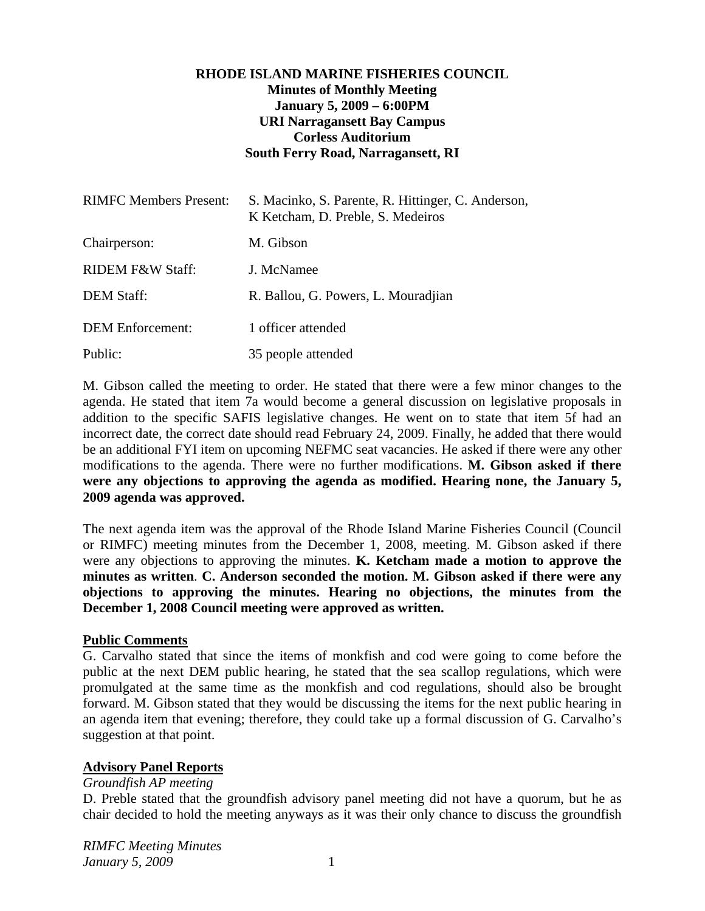## **RHODE ISLAND MARINE FISHERIES COUNCIL Minutes of Monthly Meeting January 5, 2009 – 6:00PM URI Narragansett Bay Campus Corless Auditorium South Ferry Road, Narragansett, RI**

| <b>RIMFC Members Present:</b> | S. Macinko, S. Parente, R. Hittinger, C. Anderson,<br>K Ketcham, D. Preble, S. Medeiros |
|-------------------------------|-----------------------------------------------------------------------------------------|
| Chairperson:                  | M. Gibson                                                                               |
| <b>RIDEM F&amp;W Staff:</b>   | J. McNamee                                                                              |
| <b>DEM Staff:</b>             | R. Ballou, G. Powers, L. Mouradjian                                                     |
| <b>DEM</b> Enforcement:       | 1 officer attended                                                                      |
| Public:                       | 35 people attended                                                                      |

M. Gibson called the meeting to order. He stated that there were a few minor changes to the agenda. He stated that item 7a would become a general discussion on legislative proposals in addition to the specific SAFIS legislative changes. He went on to state that item 5f had an incorrect date, the correct date should read February 24, 2009. Finally, he added that there would be an additional FYI item on upcoming NEFMC seat vacancies. He asked if there were any other modifications to the agenda. There were no further modifications. **M. Gibson asked if there were any objections to approving the agenda as modified. Hearing none, the January 5, 2009 agenda was approved.**

The next agenda item was the approval of the Rhode Island Marine Fisheries Council (Council or RIMFC) meeting minutes from the December 1, 2008, meeting. M. Gibson asked if there were any objections to approving the minutes. **K. Ketcham made a motion to approve the minutes as written**. **C. Anderson seconded the motion. M. Gibson asked if there were any objections to approving the minutes. Hearing no objections, the minutes from the December 1, 2008 Council meeting were approved as written.** 

### **Public Comments**

G. Carvalho stated that since the items of monkfish and cod were going to come before the public at the next DEM public hearing, he stated that the sea scallop regulations, which were promulgated at the same time as the monkfish and cod regulations, should also be brought forward. M. Gibson stated that they would be discussing the items for the next public hearing in an agenda item that evening; therefore, they could take up a formal discussion of G. Carvalho's suggestion at that point.

## **Advisory Panel Reports**

### *Groundfish AP meeting*

D. Preble stated that the groundfish advisory panel meeting did not have a quorum, but he as chair decided to hold the meeting anyways as it was their only chance to discuss the groundfish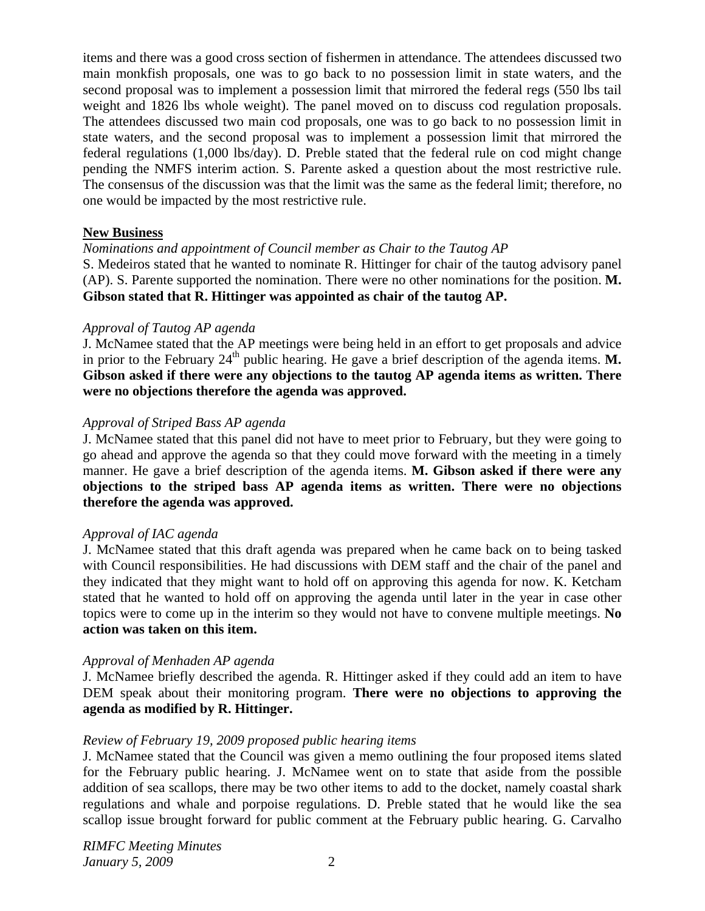items and there was a good cross section of fishermen in attendance. The attendees discussed two main monkfish proposals, one was to go back to no possession limit in state waters, and the second proposal was to implement a possession limit that mirrored the federal regs (550 lbs tail weight and 1826 lbs whole weight). The panel moved on to discuss cod regulation proposals. The attendees discussed two main cod proposals, one was to go back to no possession limit in state waters, and the second proposal was to implement a possession limit that mirrored the federal regulations (1,000 lbs/day). D. Preble stated that the federal rule on cod might change pending the NMFS interim action. S. Parente asked a question about the most restrictive rule. The consensus of the discussion was that the limit was the same as the federal limit; therefore, no one would be impacted by the most restrictive rule.

### **New Business**

*Nominations and appointment of Council member as Chair to the Tautog AP*  S. Medeiros stated that he wanted to nominate R. Hittinger for chair of the tautog advisory panel (AP). S. Parente supported the nomination. There were no other nominations for the position. **M. Gibson stated that R. Hittinger was appointed as chair of the tautog AP.**

### *Approval of Tautog AP agenda*

J. McNamee stated that the AP meetings were being held in an effort to get proposals and advice in prior to the February  $24<sup>th</sup>$  public hearing. He gave a brief description of the agenda items. **M. Gibson asked if there were any objections to the tautog AP agenda items as written. There were no objections therefore the agenda was approved.** 

### *Approval of Striped Bass AP agenda*

J. McNamee stated that this panel did not have to meet prior to February, but they were going to go ahead and approve the agenda so that they could move forward with the meeting in a timely manner. He gave a brief description of the agenda items. **M. Gibson asked if there were any objections to the striped bass AP agenda items as written. There were no objections therefore the agenda was approved.**

### *Approval of IAC agenda*

J. McNamee stated that this draft agenda was prepared when he came back on to being tasked with Council responsibilities. He had discussions with DEM staff and the chair of the panel and they indicated that they might want to hold off on approving this agenda for now. K. Ketcham stated that he wanted to hold off on approving the agenda until later in the year in case other topics were to come up in the interim so they would not have to convene multiple meetings. **No action was taken on this item.** 

## *Approval of Menhaden AP agenda*

J. McNamee briefly described the agenda. R. Hittinger asked if they could add an item to have DEM speak about their monitoring program. **There were no objections to approving the agenda as modified by R. Hittinger.** 

## *Review of February 19, 2009 proposed public hearing items*

J. McNamee stated that the Council was given a memo outlining the four proposed items slated for the February public hearing. J. McNamee went on to state that aside from the possible addition of sea scallops, there may be two other items to add to the docket, namely coastal shark regulations and whale and porpoise regulations. D. Preble stated that he would like the sea scallop issue brought forward for public comment at the February public hearing. G. Carvalho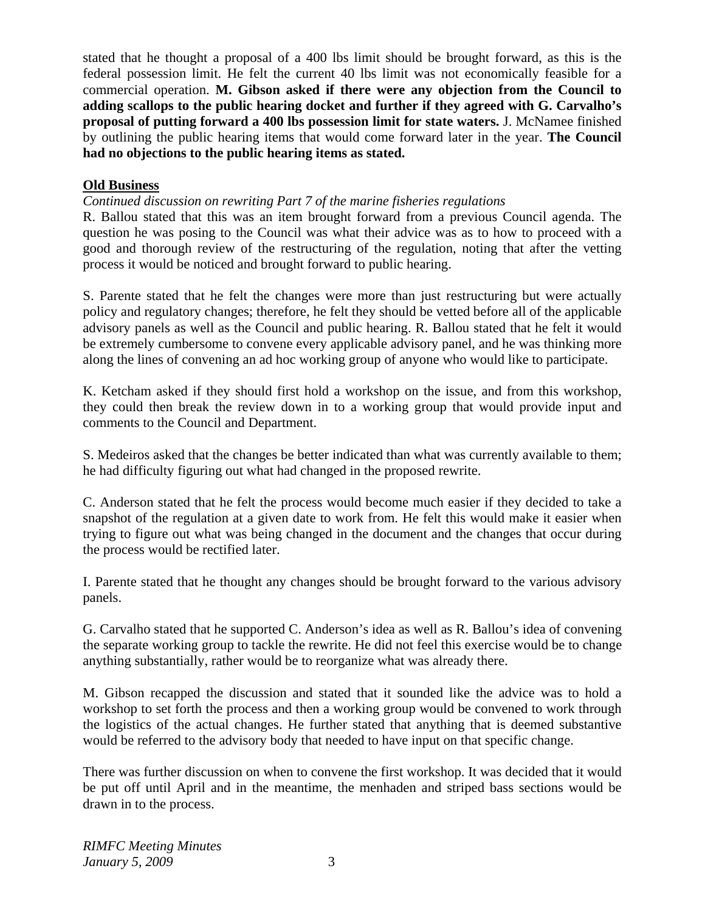stated that he thought a proposal of a 400 lbs limit should be brought forward, as this is the federal possession limit. He felt the current 40 lbs limit was not economically feasible for a commercial operation. **M. Gibson asked if there were any objection from the Council to adding scallops to the public hearing docket and further if they agreed with G. Carvalho's proposal of putting forward a 400 lbs possession limit for state waters.** J. McNamee finished by outlining the public hearing items that would come forward later in the year. **The Council had no objections to the public hearing items as stated.** 

# **Old Business**

*Continued discussion on rewriting Part 7 of the marine fisheries regulations* 

R. Ballou stated that this was an item brought forward from a previous Council agenda. The question he was posing to the Council was what their advice was as to how to proceed with a good and thorough review of the restructuring of the regulation, noting that after the vetting process it would be noticed and brought forward to public hearing.

S. Parente stated that he felt the changes were more than just restructuring but were actually policy and regulatory changes; therefore, he felt they should be vetted before all of the applicable advisory panels as well as the Council and public hearing. R. Ballou stated that he felt it would be extremely cumbersome to convene every applicable advisory panel, and he was thinking more along the lines of convening an ad hoc working group of anyone who would like to participate.

K. Ketcham asked if they should first hold a workshop on the issue, and from this workshop, they could then break the review down in to a working group that would provide input and comments to the Council and Department.

S. Medeiros asked that the changes be better indicated than what was currently available to them; he had difficulty figuring out what had changed in the proposed rewrite.

C. Anderson stated that he felt the process would become much easier if they decided to take a snapshot of the regulation at a given date to work from. He felt this would make it easier when trying to figure out what was being changed in the document and the changes that occur during the process would be rectified later.

I. Parente stated that he thought any changes should be brought forward to the various advisory panels.

G. Carvalho stated that he supported C. Anderson's idea as well as R. Ballou's idea of convening the separate working group to tackle the rewrite. He did not feel this exercise would be to change anything substantially, rather would be to reorganize what was already there.

M. Gibson recapped the discussion and stated that it sounded like the advice was to hold a workshop to set forth the process and then a working group would be convened to work through the logistics of the actual changes. He further stated that anything that is deemed substantive would be referred to the advisory body that needed to have input on that specific change.

There was further discussion on when to convene the first workshop. It was decided that it would be put off until April and in the meantime, the menhaden and striped bass sections would be drawn in to the process.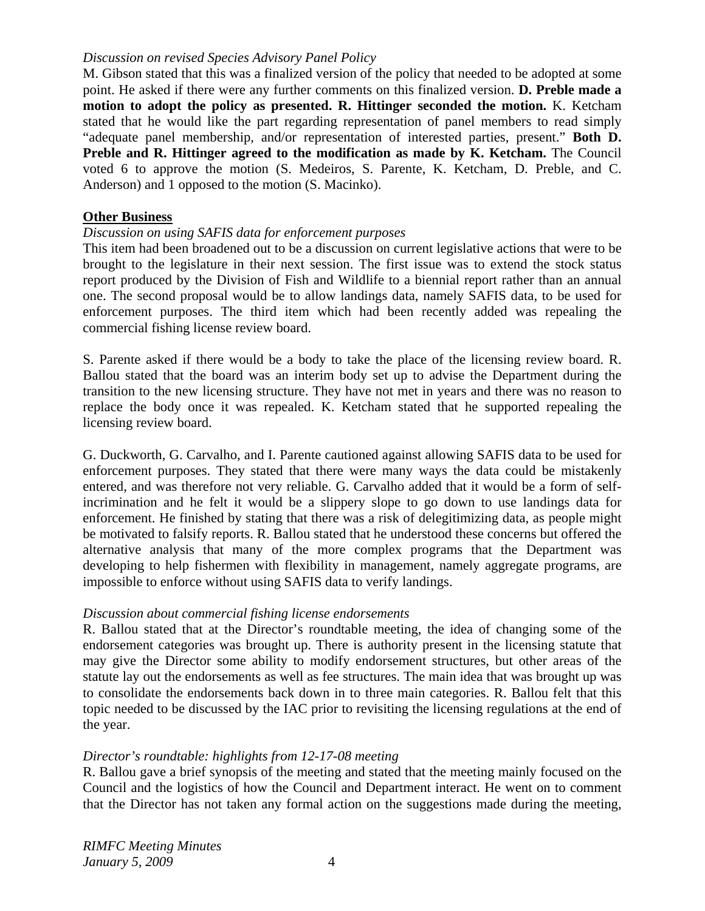### *Discussion on revised Species Advisory Panel Policy*

M. Gibson stated that this was a finalized version of the policy that needed to be adopted at some point. He asked if there were any further comments on this finalized version. **D. Preble made a motion to adopt the policy as presented. R. Hittinger seconded the motion.** K. Ketcham stated that he would like the part regarding representation of panel members to read simply "adequate panel membership, and/or representation of interested parties, present." **Both D. Preble and R. Hittinger agreed to the modification as made by K. Ketcham.** The Council voted 6 to approve the motion (S. Medeiros, S. Parente, K. Ketcham, D. Preble, and C. Anderson) and 1 opposed to the motion (S. Macinko).

#### **Other Business**

### *Discussion on using SAFIS data for enforcement purposes*

This item had been broadened out to be a discussion on current legislative actions that were to be brought to the legislature in their next session. The first issue was to extend the stock status report produced by the Division of Fish and Wildlife to a biennial report rather than an annual one. The second proposal would be to allow landings data, namely SAFIS data, to be used for enforcement purposes. The third item which had been recently added was repealing the commercial fishing license review board.

S. Parente asked if there would be a body to take the place of the licensing review board. R. Ballou stated that the board was an interim body set up to advise the Department during the transition to the new licensing structure. They have not met in years and there was no reason to replace the body once it was repealed. K. Ketcham stated that he supported repealing the licensing review board.

G. Duckworth, G. Carvalho, and I. Parente cautioned against allowing SAFIS data to be used for enforcement purposes. They stated that there were many ways the data could be mistakenly entered, and was therefore not very reliable. G. Carvalho added that it would be a form of selfincrimination and he felt it would be a slippery slope to go down to use landings data for enforcement. He finished by stating that there was a risk of delegitimizing data, as people might be motivated to falsify reports. R. Ballou stated that he understood these concerns but offered the alternative analysis that many of the more complex programs that the Department was developing to help fishermen with flexibility in management, namely aggregate programs, are impossible to enforce without using SAFIS data to verify landings.

### *Discussion about commercial fishing license endorsements*

R. Ballou stated that at the Director's roundtable meeting, the idea of changing some of the endorsement categories was brought up. There is authority present in the licensing statute that may give the Director some ability to modify endorsement structures, but other areas of the statute lay out the endorsements as well as fee structures. The main idea that was brought up was to consolidate the endorsements back down in to three main categories. R. Ballou felt that this topic needed to be discussed by the IAC prior to revisiting the licensing regulations at the end of the year.

### *Director's roundtable: highlights from 12-17-08 meeting*

R. Ballou gave a brief synopsis of the meeting and stated that the meeting mainly focused on the Council and the logistics of how the Council and Department interact. He went on to comment that the Director has not taken any formal action on the suggestions made during the meeting,